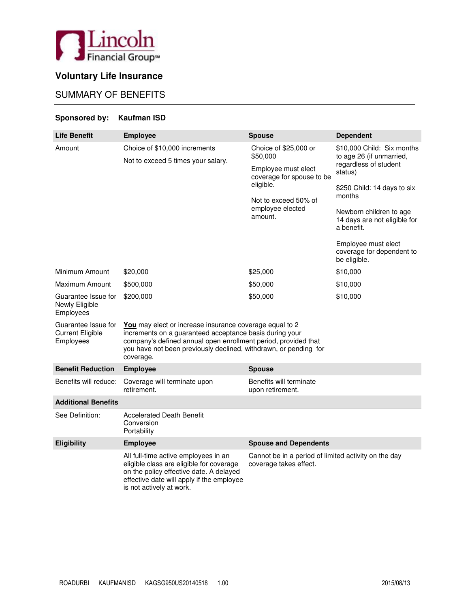

# **Voluntary Life Insurance**

# SUMMARY OF BENEFITS

## **Sponsored by: Kaufman ISD**

| <b>Life Benefit</b>                                         | <b>Employee</b>                                                                                                                                                                                                                                                       | <b>Spouse</b>                                                                                                                                             | <b>Dependent</b>                                                                                                                                                                                                                                                                 |  |  |  |
|-------------------------------------------------------------|-----------------------------------------------------------------------------------------------------------------------------------------------------------------------------------------------------------------------------------------------------------------------|-----------------------------------------------------------------------------------------------------------------------------------------------------------|----------------------------------------------------------------------------------------------------------------------------------------------------------------------------------------------------------------------------------------------------------------------------------|--|--|--|
| Amount                                                      | Choice of \$10,000 increments<br>Not to exceed 5 times your salary.                                                                                                                                                                                                   | Choice of \$25,000 or<br>\$50,000<br>Employee must elect<br>coverage for spouse to be<br>eligible.<br>Not to exceed 50% of<br>employee elected<br>amount. | \$10,000 Child: Six months<br>to age 26 (if unmarried,<br>regardless of student<br>status)<br>\$250 Child: 14 days to six<br>months<br>Newborn children to age<br>14 days are not eligible for<br>a benefit.<br>Employee must elect<br>coverage for dependent to<br>be eligible. |  |  |  |
| Minimum Amount                                              | \$20,000                                                                                                                                                                                                                                                              | \$25,000                                                                                                                                                  | \$10,000                                                                                                                                                                                                                                                                         |  |  |  |
| Maximum Amount                                              | \$500,000                                                                                                                                                                                                                                                             | \$50,000                                                                                                                                                  | \$10,000                                                                                                                                                                                                                                                                         |  |  |  |
| Guarantee Issue for<br>Newly Eligible<br>Employees          | \$200,000                                                                                                                                                                                                                                                             | \$50,000                                                                                                                                                  | \$10,000                                                                                                                                                                                                                                                                         |  |  |  |
| Guarantee Issue for<br><b>Current Eligible</b><br>Employees | You may elect or increase insurance coverage equal to 2<br>increments on a guaranteed acceptance basis during your<br>company's defined annual open enrollment period, provided that<br>you have not been previously declined, withdrawn, or pending for<br>coverage. |                                                                                                                                                           |                                                                                                                                                                                                                                                                                  |  |  |  |
| <b>Benefit Reduction</b>                                    | <b>Employee</b>                                                                                                                                                                                                                                                       | <b>Spouse</b>                                                                                                                                             |                                                                                                                                                                                                                                                                                  |  |  |  |
| Benefits will reduce:                                       | Coverage will terminate upon<br>retirement.                                                                                                                                                                                                                           | Benefits will terminate<br>upon retirement.                                                                                                               |                                                                                                                                                                                                                                                                                  |  |  |  |
| <b>Additional Benefits</b>                                  |                                                                                                                                                                                                                                                                       |                                                                                                                                                           |                                                                                                                                                                                                                                                                                  |  |  |  |
| See Definition:                                             | <b>Accelerated Death Benefit</b><br>Conversion<br>Portability                                                                                                                                                                                                         |                                                                                                                                                           |                                                                                                                                                                                                                                                                                  |  |  |  |
| Eligibility                                                 | <b>Employee</b>                                                                                                                                                                                                                                                       | <b>Spouse and Dependents</b>                                                                                                                              |                                                                                                                                                                                                                                                                                  |  |  |  |
|                                                             | All full-time active employees in an<br>eligible class are eligible for coverage<br>on the policy effective date. A delayed<br>effective date will apply if the employee<br>is not actively at work.                                                                  | Cannot be in a period of limited activity on the day<br>coverage takes effect.                                                                            |                                                                                                                                                                                                                                                                                  |  |  |  |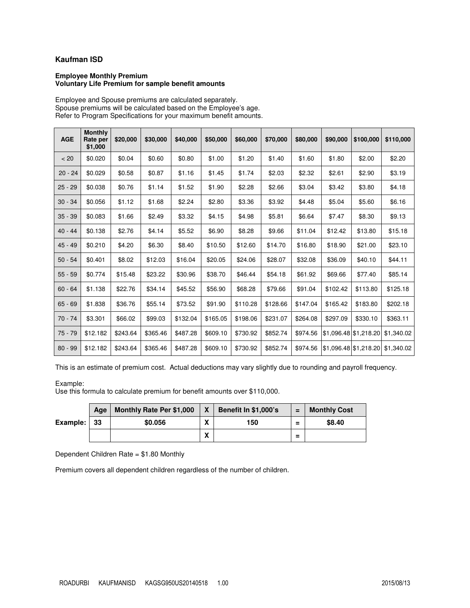## **Kaufman ISD**

#### **Employee Monthly Premium Voluntary Life Premium for sample benefit amounts**

Employee and Spouse premiums are calculated separately. Spouse premiums will be calculated based on the Employee's age. Refer to Program Specifications for your maximum benefit amounts.

| <b>AGE</b> | <b>Monthly</b><br>Rate per<br>\$1,000 | \$20,000 | \$30,000 | \$40,000 | \$50,000 | \$60,000 | \$70,000 | \$80,000 | \$90,000 | \$100,000             | \$110,000  |
|------------|---------------------------------------|----------|----------|----------|----------|----------|----------|----------|----------|-----------------------|------------|
| < 20       | \$0.020                               | \$0.04   | \$0.60   | \$0.80   | \$1.00   | \$1.20   | \$1.40   | \$1.60   | \$1.80   | \$2.00                | \$2.20     |
| $20 - 24$  | \$0.029                               | \$0.58   | \$0.87   | \$1.16   | \$1.45   | \$1.74   | \$2.03   | \$2.32   | \$2.61   | \$2.90                | \$3.19     |
| $25 - 29$  | \$0.038                               | \$0.76   | \$1.14   | \$1.52   | \$1.90   | \$2.28   | \$2.66   | \$3.04   | \$3.42   | \$3.80                | \$4.18     |
| $30 - 34$  | \$0.056                               | \$1.12   | \$1.68   | \$2.24   | \$2.80   | \$3.36   | \$3.92   | \$4.48   | \$5.04   | \$5.60                | \$6.16     |
| $35 - 39$  | \$0.083                               | \$1.66   | \$2.49   | \$3.32   | \$4.15   | \$4.98   | \$5.81   | \$6.64   | \$7.47   | \$8.30                | \$9.13     |
| $40 - 44$  | \$0.138                               | \$2.76   | \$4.14   | \$5.52   | \$6.90   | \$8.28   | \$9.66   | \$11.04  | \$12.42  | \$13.80               | \$15.18    |
| $45 - 49$  | \$0.210                               | \$4.20   | \$6.30   | \$8.40   | \$10.50  | \$12.60  | \$14.70  | \$16.80  | \$18.90  | \$21.00               | \$23.10    |
| $50 - 54$  | \$0.401                               | \$8.02   | \$12.03  | \$16.04  | \$20.05  | \$24.06  | \$28.07  | \$32.08  | \$36.09  | \$40.10               | \$44.11    |
| $55 - 59$  | \$0.774                               | \$15.48  | \$23.22  | \$30.96  | \$38.70  | \$46.44  | \$54.18  | \$61.92  | \$69.66  | \$77.40               | \$85.14    |
| $60 - 64$  | \$1.138                               | \$22.76  | \$34.14  | \$45.52  | \$56.90  | \$68.28  | \$79.66  | \$91.04  | \$102.42 | \$113.80              | \$125.18   |
| $65 - 69$  | \$1.838                               | \$36.76  | \$55.14  | \$73.52  | \$91.90  | \$110.28 | \$128.66 | \$147.04 | \$165.42 | \$183.80              | \$202.18   |
| 70 - 74    | \$3.301                               | \$66.02  | \$99.03  | \$132.04 | \$165.05 | \$198.06 | \$231.07 | \$264.08 | \$297.09 | \$330.10              | \$363.11   |
| $75 - 79$  | \$12.182                              | \$243.64 | \$365.46 | \$487.28 | \$609.10 | \$730.92 | \$852.74 | \$974.56 |          | \$1,096.48 \$1,218.20 | \$1,340.02 |
| $80 - 99$  | \$12.182                              | \$243.64 | \$365.46 | \$487.28 | \$609.10 | \$730.92 | \$852.74 | \$974.56 |          | \$1,096.48 \$1,218.20 | \$1,340.02 |

This is an estimate of premium cost. Actual deductions may vary slightly due to rounding and payroll frequency.

Example:

Use this formula to calculate premium for benefit amounts over \$110,000.

|          | Aae | <b>Monthly Rate Per \$1,000</b> | $\boldsymbol{\mathsf{x}}$ | <b>Benefit In \$1,000's</b> | $=$      | <b>Monthly Cost</b> |
|----------|-----|---------------------------------|---------------------------|-----------------------------|----------|---------------------|
| Example: | -33 | \$0.056                         | v<br>Λ                    | 150                         | $\equiv$ | \$8.40              |
|          |     |                                 | v<br>Λ                    |                             | Ξ        |                     |

Dependent Children Rate = \$1.80 Monthly

Premium covers all dependent children regardless of the number of children.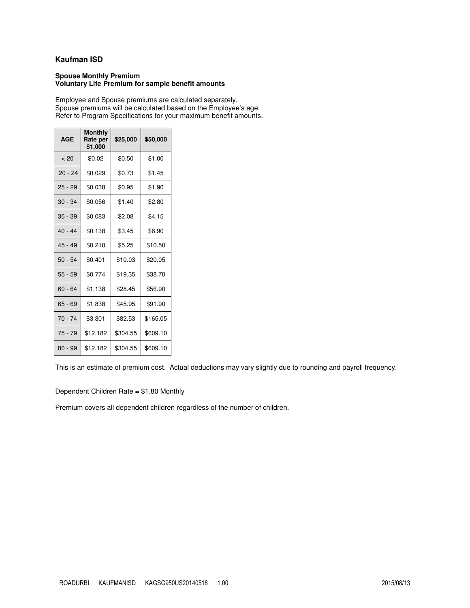## **Kaufman ISD**

#### **Spouse Monthly Premium Voluntary Life Premium for sample benefit amounts**

Employee and Spouse premiums are calculated separately. Spouse premiums will be calculated based on the Employee's age. Refer to Program Specifications for your maximum benefit amounts.

| <b>AGE</b> | <b>Monthly</b><br>Rate per<br>\$1,000 | \$25,000 | \$50,000 |
|------------|---------------------------------------|----------|----------|
| < 20       | \$0.02                                | \$0.50   | \$1.00   |
| $20 - 24$  | \$0.029                               | \$0.73   | \$1.45   |
| $25 - 29$  | \$0.038                               | \$0.95   | \$1.90   |
| $30 - 34$  | \$0.056                               | \$1.40   | \$2.80   |
| $35 - 39$  | \$0.083                               | \$2.08   | \$4.15   |
| $40 - 44$  | \$0.138                               | \$3.45   | \$6.90   |
| $45 - 49$  | \$0.210                               | \$5.25   | \$10.50  |
| $50 - 54$  | \$0.401                               | \$10.03  | \$20.05  |
| $55 - 59$  | \$0.774                               | \$19.35  | \$38.70  |
| 60 - 64    | \$1.138                               | \$28.45  | \$56.90  |
| $65 - 69$  | \$1.838                               | \$45.95  | \$91.90  |
| 70 - 74    | \$3.301                               | \$82.53  | \$165.05 |
| 75 - 79    | \$12.182                              | \$304.55 | \$609.10 |
| 80 - 99    | \$12.182                              | \$304.55 | \$609.10 |

This is an estimate of premium cost. Actual deductions may vary slightly due to rounding and payroll frequency.

Dependent Children Rate = \$1.80 Monthly

Premium covers all dependent children regardless of the number of children.